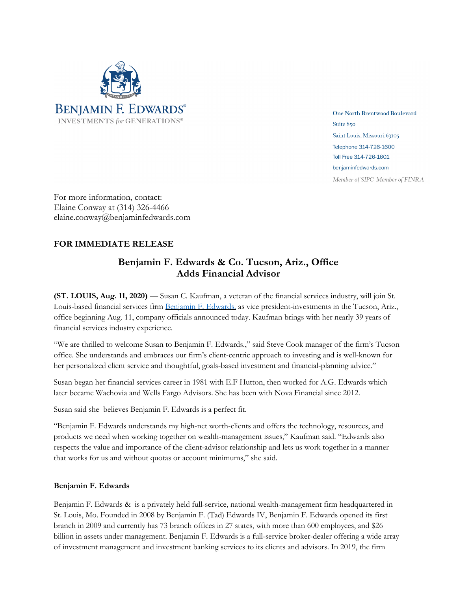

One North Brentwood Boulevard Suite 850 Saint Louis, Missouri 63105 Telephone 314-726-1600 Toll Free 314-726-1601 benjaminfedwards.com Member of SIPC Member of FINRA

For more information, contact: Elaine Conway at (314) 326-4466 elaine.conway@benjaminfedwards.com

## **FOR IMMEDIATE RELEASE**

## **Benjamin F. Edwards & Co. Tucson, Ariz., Office Adds Financial Advisor**

**(ST. LOUIS, Aug. 11, 2020)** — Susan C. Kaufman, a veteran of the financial services industry, will join St. Louis-based financial services firm **Benjamin F. Edwards**, as vice president-investments in the Tucson, Ariz., office beginning Aug. 11, company officials announced today. Kaufman brings with her nearly 39 years of financial services industry experience.

"We are thrilled to welcome Susan to Benjamin F. Edwards.," said Steve Cook manager of the firm's Tucson office. She understands and embraces our firm's client-centric approach to investing and is well-known for her personalized client service and thoughtful, goals-based investment and financial-planning advice."

Susan began her financial services career in 1981 with E.F Hutton, then worked for A.G. Edwards which later became Wachovia and Wells Fargo Advisors. She has been with Nova Financial since 2012.

Susan said she believes Benjamin F. Edwards is a perfect fit.

"Benjamin F. Edwards understands my high-net worth-clients and offers the technology, resources, and products we need when working together on wealth-management issues," Kaufman said. "Edwards also respects the value and importance of the client-advisor relationship and lets us work together in a manner that works for us and without quotas or account minimums," she said.

## **Benjamin F. Edwards**

Benjamin F. Edwards & is a privately held full-service, national wealth-management firm headquartered in St. Louis, Mo. Founded in 2008 by Benjamin F. (Tad) Edwards IV, Benjamin F. Edwards opened its first branch in 2009 and currently has 73 branch offices in 27 states, with more than 600 employees, and \$26 billion in assets under management. Benjamin F. Edwards is a full-service broker-dealer offering a wide array of investment management and investment banking services to its clients and advisors. In 2019, the firm